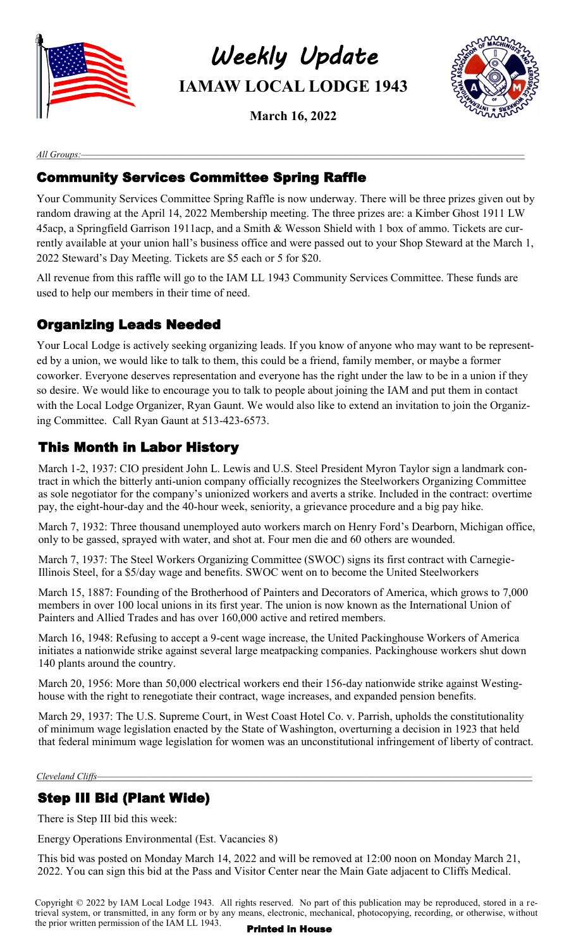

*Weekly Update*  **IAMAW LOCAL LODGE 1943**

**March 16, 2022**



*All Groups:—————————————————————————————————————————————————————*

# Community Services Committee Spring Raffle

Your Community Services Committee Spring Raffle is now underway. There will be three prizes given out by random drawing at the April 14, 2022 Membership meeting. The three prizes are: a Kimber Ghost 1911 LW 45acp, a Springfield Garrison 1911acp, and a Smith & Wesson Shield with 1 box of ammo. Tickets are currently available at your union hall's business office and were passed out to your Shop Steward at the March 1, 2022 Steward's Day Meeting. Tickets are \$5 each or 5 for \$20.

All revenue from this raffle will go to the IAM LL 1943 Community Services Committee. These funds are used to help our members in their time of need.

# Organizing Leads Needed

Your Local Lodge is actively seeking organizing leads. If you know of anyone who may want to be represented by a union, we would like to talk to them, this could be a friend, family member, or maybe a former coworker. Everyone deserves representation and everyone has the right under the law to be in a union if they so desire. We would like to encourage you to talk to people about joining the IAM and put them in contact with the Local Lodge Organizer, Ryan Gaunt. We would also like to extend an invitation to join the Organizing Committee. Call Ryan Gaunt at 513-423-6573.

# This Month in Labor History

March 1-2, 1937: CIO president John L. Lewis and U.S. Steel President Myron Taylor sign a landmark contract in which the bitterly anti-union company officially recognizes the Steelworkers Organizing Committee as sole negotiator for the company's unionized workers and averts a strike. Included in the contract: overtime pay, the eight-hour-day and the 40-hour week, seniority, a grievance procedure and a big pay hike.

March 7, 1932: Three thousand unemployed auto workers march on Henry Ford's Dearborn, Michigan office, only to be gassed, sprayed with water, and shot at. Four men die and 60 others are wounded.

March 7, 1937: The Steel Workers Organizing Committee (SWOC) signs its first contract with Carnegie-Illinois Steel, for a \$5/day wage and benefits. SWOC went on to become the United Steelworkers

March 15, 1887: Founding of the Brotherhood of Painters and Decorators of America, which grows to 7,000 members in over 100 local unions in its first year. The union is now known as the International Union of Painters and Allied Trades and has over 160,000 active and retired members.

March 16, 1948: Refusing to accept a 9-cent wage increase, the United Packinghouse Workers of America initiates a nationwide strike against several large meatpacking companies. Packinghouse workers shut down 140 plants around the country.

March 20, 1956: More than 50,000 electrical workers end their 156-day nationwide strike against Westinghouse with the right to renegotiate their contract, wage increases, and expanded pension benefits.

March 29, 1937: The U.S. Supreme Court, in West Coast Hotel Co. v. Parrish, upholds the constitutionality of minimum wage legislation enacted by the State of Washington, overturning a decision in 1923 that held that federal minimum wage legislation for women was an unconstitutional infringement of liberty of contract.

#### *Cleveland Cliffs*

#### Step III Bid (Plant Wide)

There is Step III bid this week:

Energy Operations Environmental (Est. Vacancies 8)

This bid was posted on Monday March 14, 2022 and will be removed at 12:00 noon on Monday March 21, 2022. You can sign this bid at the Pass and Visitor Center near the Main Gate adjacent to Cliffs Medical.

Copyright © 2022 by IAM Local Lodge 1943. All rights reserved. No part of this publication may be reproduced, stored in a retrieval system, or transmitted, in any form or by any means, electronic, mechanical, photocopying, recording, or otherwise, without the prior written permission of the IAM LL  $1943$ . Printed in House